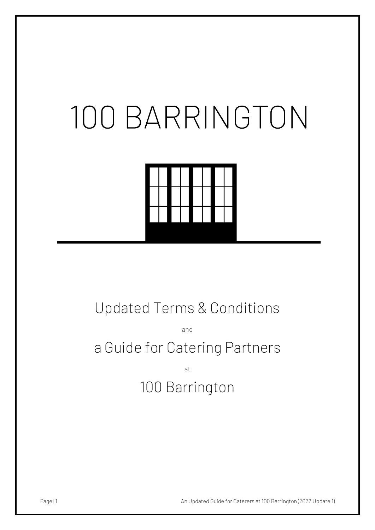# 100 BARRINGTON



# Updated Terms & Conditions

and

# a Guide for Catering Partners

at 100 Barrington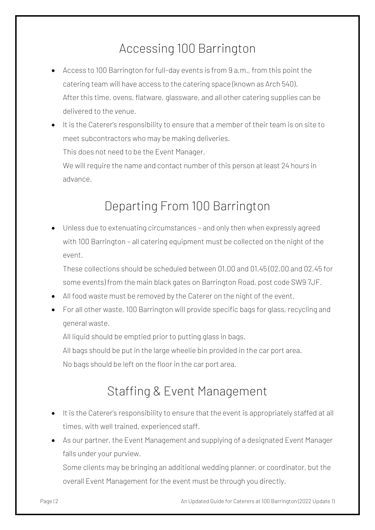### Accessing 100 Barrington

- Access to 100 Barrington for full-day events is from 9 a.m., from this point the catering team will have access to the catering space (known as Arch 540). After this time, ovens, flatware, glassware, and all other catering supplies can be delivered to the venue.
- It is the Caterer's responsibility to ensure that a member of their team is on site to meet subcontractors who may be making deliveries.

This does not need to be the Event Manager.

We will require the name and contact number of this person at least 24 hours in advance.

#### Departing From 100 Barrington

• Unless due to extenuating circumstances – and only then when expressly agreed with 100 Barrington – all catering equipment must be collected on the night of the event.

These collections should be scheduled between 01.00 and 01.45 (02.00 and 02.45 for some events) from the main black gates on Barrington Road, post code SW9 7JF.

- All food waste must be removed by the Caterer on the night of the event.
- For all other waste, 100 Barrington will provide specific bags for glass, recycling and general waste.

All liquid should be emptied prior to putting glass in bags.

All bags should be put in the large wheelie bin provided in the car port area.

No bags should be left on the floor in the car port area.

#### Staffing & Event Management

- It is the Caterer's responsibility to ensure that the event is appropriately staffed at all times, with well trained, experienced staff.
- As our partner, the Event Management and supplying of a designated Event Manager falls under your purview.

Some clients may be bringing an additional wedding planner, or coordinator, but the overall Event Management for the event must be through you directly.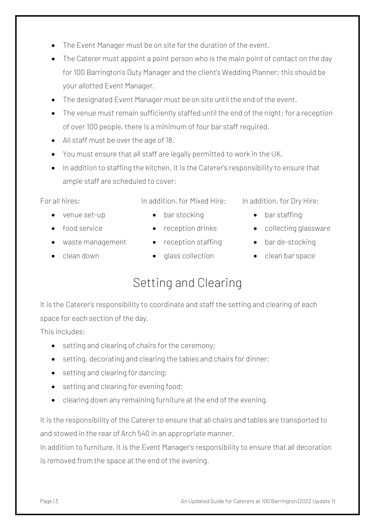- The Event Manager must be on site for the duration of the event.
- The Caterer must appoint a point person who is the main point of contact on the day for 100 Barrington's Duty Manager and the client's Wedding Planner; this should be your allotted Event Manager.
- The designated Event Manager must be on site until the end of the event.
- The venue must remain sufficiently staffed until the end of the night; for a reception of over 100 people, there is a minimum of four bar staff required.
- All staff must be over the age of 18.
- You must ensure that all staff are legally permitted to work in the UK.
- In addition to staffing the kitchen, it is the Caterer's responsibility to ensure that ample staff are scheduled to cover:

In addition, for Mixed Hire:

For all hires:

- venue set-up
- bar stocking
- food service
- waste management reception staffing bar de-stocking
- clean down
- 
- 
- glass collection
- In addition, for Dry Hire: • bar staffing
- reception drinks collecting glassware
	-
	- clean bar space

#### Setting and Clearing

It is the Caterer's responsibility to coordinate and staff the setting and clearing of each space for each section of the day.

This includes:

- setting and clearing of chairs for the ceremony;
- setting, decorating and clearing the tables and chairs for dinner;
- setting and clearing for dancing;
- setting and clearing for evening food;
- clearing down any remaining furniture at the end of the evening.

It is the responsibility of the Caterer to ensure that all chairs and tables are transported to and stowed in the rear of Arch 540 in an appropriate manner.

In addition to furniture, it is the Event Manager's responsibility to ensure that all decoration is removed from the space at the end of the evening.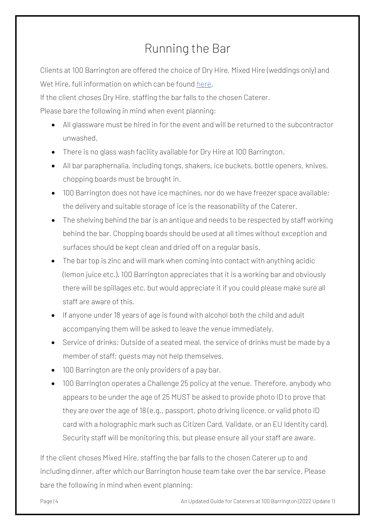## Running the Bar

Clients at 100 Barrington are offered the choice of Dry Hire, Mixed Hire (weddings only) and Wet Hire, full information on which can be found [here.](mailto:https://www.100barringtonroad.com/bar)

If the client choses Dry Hire, staffing the bar falls to the chosen Caterer.

Please bare the following in mind when event planning:

- All glassware must be hired in for the event and will be returned to the subcontractor unwashed.
- There is no glass wash facility available for Dry Hire at 100 Barrington.
- All bar paraphernalia, including tongs, shakers, ice buckets, bottle openers, knives, chopping boards must be brought in.
- 100 Barrington does not have ice machines, nor do we have freezer space available; the delivery and suitable storage of ice is the reasonability of the Caterer.
- The shelving behind the bar is an antique and needs to be respected by staff working behind the bar. Chopping boards should be used at all times without exception and surfaces should be kept clean and dried off on a regular basis.
- The bar top is zinc and will mark when coming into contact with anything acidic (lemon juice etc.). 100 Barrington appreciates that it is a working bar and obviously there will be spillages etc. but would appreciate it if you could please make sure all staff are aware of this.
- If anyone under 18 years of age is found with alcohol both the child and adult accompanying them will be asked to leave the venue immediately.
- Service of drinks: Outside of a seated meal, the service of drinks must be made by a member of staff; guests may not help themselves.
- 100 Barrington are the only providers of a pay bar.
- 100 Barrington operates a Challenge 25 policy at the venue. Therefore, anybody who appears to be under the age of 25 MUST be asked to provide photo ID to prove that they are over the age of 18 (e.g., passport, photo driving licence, or valid photo ID card with a holographic mark such as Citizen Card, Validate, or an EU Identity card). Security staff will be monitoring this, but please ensure all your staff are aware.

If the client choses Mixed Hire, staffing the bar falls to the chosen Caterer up to and including dinner, after which our Barrington house team take over the bar service. Please bare the following in mind when event planning:

Page | 4 **An Updated Guide for Caterers at 100 Barrington (2022 Update 1)**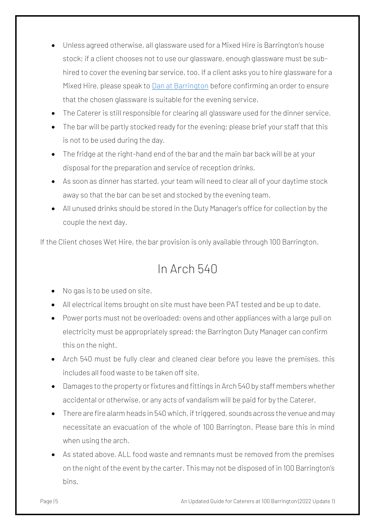- Unless agreed otherwise, all glassware used for a Mixed Hire is Barrington's house stock; if a client chooses not to use our glassware, enough glassware must be subhired to cover the evening bar service, too. If a client asks you to hire glassware for a Mixed Hire, please speak to [Dan at Barrington](mailto:dan@100barrington.co.uk) before confirming an order to ensure that the chosen glassware is suitable for the evening service.
- The Caterer is still responsible for clearing all glassware used for the dinner service.
- The bar will be partly stocked ready for the evening; please brief your staff that this is not to be used during the day.
- The fridge at the right-hand end of the bar and the main bar back will be at your disposal for the preparation and service of reception drinks.
- As soon as dinner has started, your team will need to clear all of your daytime stock away so that the bar can be set and stocked by the evening team.
- All unused drinks should be stored in the Duty Manager's office for collection by the couple the next day.

If the Client choses Wet Hire, the bar provision is only available through 100 Barrington.

#### In Arch 540

- No gas is to be used on site.
- All electrical items brought on site must have been PAT tested and be up to date.
- Power ports must not be overloaded; ovens and other appliances with a large pull on electricity must be appropriately spread; the Barrington Duty Manager can confirm this on the night.
- Arch 540 must be fully clear and cleaned clear before you leave the premises, this includes all food waste to be taken off site.
- Damages to the property or fixtures and fittings in Arch 540 by staff members whether accidental or otherwise, or any acts of vandalism will be paid for by the Caterer.
- There are fire alarm heads in 540 which, if triggered, sounds across the venue and may necessitate an evacuation of the whole of 100 Barrington. Please bare this in mind when using the arch.
- As stated above, ALL food waste and remnants must be removed from the premises on the night of the event by the carter. This may not be disposed of in 100 Barrington's bins.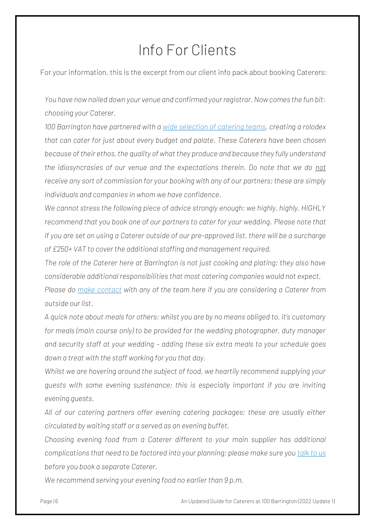# Info For Clients

For your information, this is the excerpt from our client info pack about booking Caterers:

*You have now nailed down your venue and confirmed your registrar. Now comes the fun bit: choosing your Caterer.*

*100 Barrington have partnered with a [wide selection of catering teams,](https://pub.lucidpress.com/100BARRINGTON#D_N2bFP292zm) creating a rolodex that can cater for just about every budget and palate. These Caterers have been chosen because of their ethos, the quality of what they produce and because they fully understand the idiosyncrasies of our venue and the expectations therein. Do note that we do not receive any sort of commission for your booking with any of our partners; these are simply individuals and companies in whom we have confidence.* 

*We cannot stress the following piece of advice strongly enough: we highly, highly, HIGHLY recommend that you book one of our partners to cater for your wedding. Please note that if you are set on using a Caterer outside of our pre-approved list, there will be a surcharge of £250+ VAT to cover the additional staffing and management required.*

*The role of the Caterer here at Barrington is not just cooking and plating; they also have considerable additional responsibilities that most catering companies would not expect. Please do [make contact](mailto:100barringtonroad@gmail.com) with any of the team here if you are considering a Caterer from outside our list.*

*A quick note about meals for others: whilst you are by no means obliged to, it's customary for meals (main course only) to be provided for the wedding photographer, duty manager and security staff at your wedding – adding these six extra meals to your schedule goes down a treat with the staff working for you that day.*

*Whilst we are hovering around the subject of food, we heartily recommend supplying your guests with some evening sustenance; this is especially important if you are inviting evening guests.*

*All of our catering partners offer evening catering packages; these are usually either circulated by waiting staff or a served as an evening buffet.* 

*Choosing evening food from a Caterer different to your main supplier has additional complications that need to be factored into your planning; please make sure you [talk to us](mailto:100barringtonroad@gmail.com) before you book a separate Caterer.* 

*We recommend serving your evening food no earlier than 9 p.m.*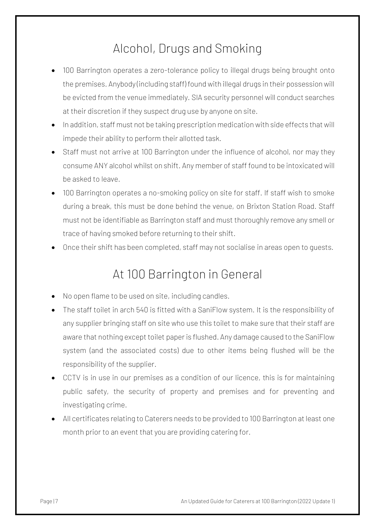### Alcohol, Drugs and Smoking

- 100 Barrington operates a zero-tolerance policy to illegal drugs being brought onto the premises. Anybody (including staff) found with illegal drugs in their possession will be evicted from the venue immediately. SIA security personnel will conduct searches at their discretion if they suspect drug use by anyone on site.
- In addition, staff must not be taking prescription medication with side effects that will impede their ability to perform their allotted task.
- Staff must not arrive at 100 Barrington under the influence of alcohol, nor may they consume ANY alcohol whilst on shift. Any member of staff found to be intoxicated will be asked to leave.
- 100 Barrington operates a no-smoking policy on site for staff. If staff wish to smoke during a break, this must be done behind the venue, on Brixton Station Road. Staff must not be identifiable as Barrington staff and must thoroughly remove any smell or trace of having smoked before returning to their shift.
- Once their shift has been completed, staff may not socialise in areas open to guests.

#### At 100 Barrington in General

- No open flame to be used on site, including candles.
- The staff toilet in arch 540 is fitted with a SaniFlow system. It is the responsibility of any supplier bringing staff on site who use this toilet to make sure that their staff are aware that nothing except toilet paper is flushed. Any damage caused to the SaniFlow system (and the associated costs) due to other items being flushed will be the responsibility of the supplier.
- CCTV is in use in our premises as a condition of our licence, this is for maintaining public safety, the security of property and premises and for preventing and investigating crime.
- All certificates relating to Caterers needs to be provided to 100 Barrington at least one month prior to an event that you are providing catering for.